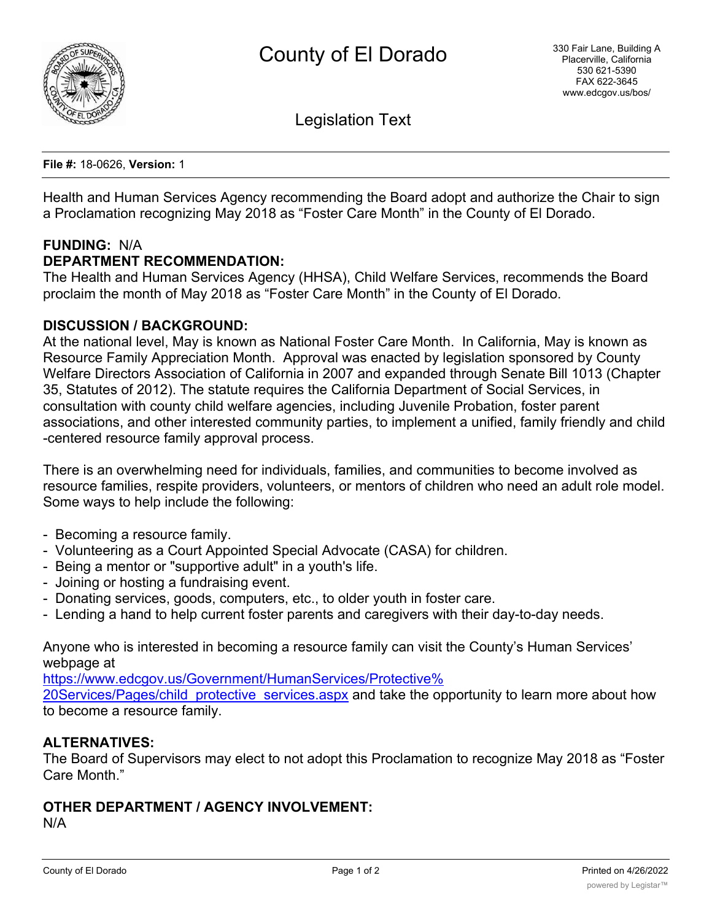

Legislation Text

**File #:** 18-0626, **Version:** 1

Health and Human Services Agency recommending the Board adopt and authorize the Chair to sign a Proclamation recognizing May 2018 as "Foster Care Month" in the County of El Dorado.

# **FUNDING:** N/A

**DEPARTMENT RECOMMENDATION:**

The Health and Human Services Agency (HHSA), Child Welfare Services, recommends the Board proclaim the month of May 2018 as "Foster Care Month" in the County of El Dorado.

#### **DISCUSSION / BACKGROUND:**

At the national level, May is known as National Foster Care Month. In California, May is known as Resource Family Appreciation Month. Approval was enacted by legislation sponsored by County Welfare Directors Association of California in 2007 and expanded through Senate Bill 1013 (Chapter 35, Statutes of 2012). The statute requires the California Department of Social Services, in consultation with county child welfare agencies, including Juvenile Probation, foster parent associations, and other interested community parties, to implement a unified, family friendly and child -centered resource family approval process.

There is an overwhelming need for individuals, families, and communities to become involved as resource families, respite providers, volunteers, or mentors of children who need an adult role model. Some ways to help include the following:

- Becoming a resource family.
- Volunteering as a Court Appointed Special Advocate (CASA) for children.
- Being a mentor or "supportive adult" in a youth's life.
- Joining or hosting a fundraising event.
- Donating services, goods, computers, etc., to older youth in foster care.
- Lending a hand to help current foster parents and caregivers with their day-to-day needs.

Anyone who is interested in becoming a resource family can visit the County's Human Services' webpage at

https://www.edcgov.us/Government/HumanServices/Protective% 20Services/Pages/child protective services.aspx and take the opportunity to learn more about how to become a resource family.

#### **ALTERNATIVES:**

The Board of Supervisors may elect to not adopt this Proclamation to recognize May 2018 as "Foster Care Month."

#### **OTHER DEPARTMENT / AGENCY INVOLVEMENT:**

N/A